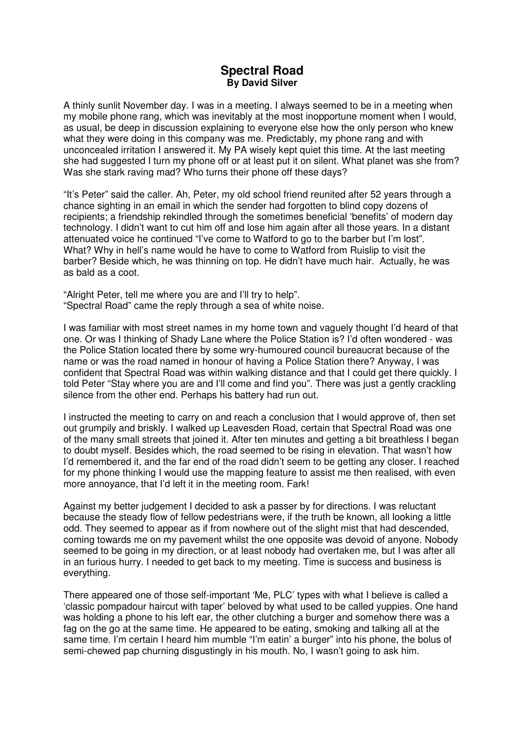## **Spectral Road By David Silver**

A thinly sunlit November day. I was in a meeting. I always seemed to be in a meeting when my mobile phone rang, which was inevitably at the most inopportune moment when I would, as usual, be deep in discussion explaining to everyone else how the only person who knew what they were doing in this company was me. Predictably, my phone rang and with unconcealed irritation I answered it. My PA wisely kept quiet this time. At the last meeting she had suggested I turn my phone off or at least put it on silent. What planet was she from? Was she stark raving mad? Who turns their phone off these days?

"It's Peter" said the caller. Ah, Peter, my old school friend reunited after 52 years through a chance sighting in an email in which the sender had forgotten to blind copy dozens of recipients; a friendship rekindled through the sometimes beneficial 'benefits' of modern day technology. I didn't want to cut him off and lose him again after all those years. In a distant attenuated voice he continued "I've come to Watford to go to the barber but I'm lost". What? Why in hell's name would he have to come to Watford from Ruislip to visit the barber? Beside which, he was thinning on top. He didn't have much hair. Actually, he was as bald as a coot.

"Alright Peter, tell me where you are and I'll try to help". "Spectral Road" came the reply through a sea of white noise.

I was familiar with most street names in my home town and vaguely thought I'd heard of that one. Or was I thinking of Shady Lane where the Police Station is? I'd often wondered - was the Police Station located there by some wry-humoured council bureaucrat because of the name or was the road named in honour of having a Police Station there? Anyway, I was confident that Spectral Road was within walking distance and that I could get there quickly. I told Peter "Stay where you are and I'll come and find you". There was just a gently crackling silence from the other end. Perhaps his battery had run out.

I instructed the meeting to carry on and reach a conclusion that I would approve of, then set out grumpily and briskly. I walked up Leavesden Road, certain that Spectral Road was one of the many small streets that joined it. After ten minutes and getting a bit breathless I began to doubt myself. Besides which, the road seemed to be rising in elevation. That wasn't how I'd remembered it, and the far end of the road didn't seem to be getting any closer. I reached for my phone thinking I would use the mapping feature to assist me then realised, with even more annoyance, that I'd left it in the meeting room. Fark!

Against my better judgement I decided to ask a passer by for directions. I was reluctant because the steady flow of fellow pedestrians were, if the truth be known, all looking a little odd. They seemed to appear as if from nowhere out of the slight mist that had descended, coming towards me on my pavement whilst the one opposite was devoid of anyone. Nobody seemed to be going in my direction, or at least nobody had overtaken me, but I was after all in an furious hurry. I needed to get back to my meeting. Time is success and business is everything.

There appeared one of those self-important 'Me, PLC' types with what I believe is called a 'classic pompadour haircut with taper' beloved by what used to be called yuppies. One hand was holding a phone to his left ear, the other clutching a burger and somehow there was a fag on the go at the same time. He appeared to be eating, smoking and talking all at the same time. I'm certain I heard him mumble "I'm eatin' a burger" into his phone, the bolus of semi-chewed pap churning disgustingly in his mouth. No, I wasn't going to ask him.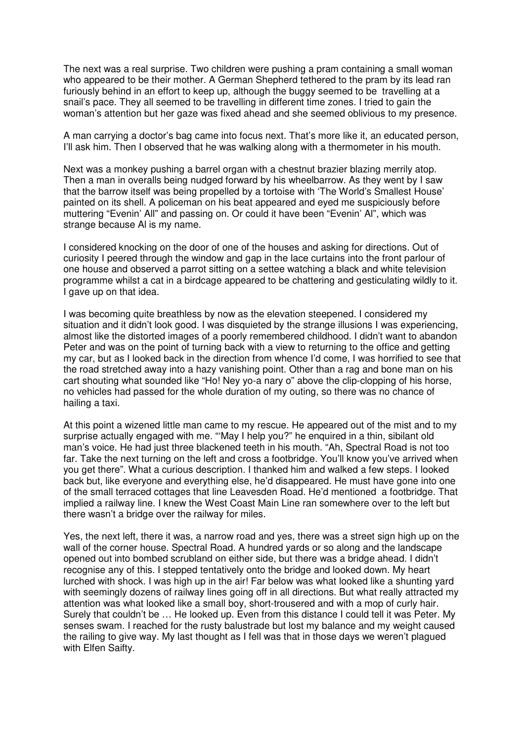The next was a real surprise. Two children were pushing a pram containing a small woman who appeared to be their mother. A German Shepherd tethered to the pram by its lead ran furiously behind in an effort to keep up, although the buggy seemed to be travelling at a snail's pace. They all seemed to be travelling in different time zones. I tried to gain the woman's attention but her gaze was fixed ahead and she seemed oblivious to my presence.

A man carrying a doctor's bag came into focus next. That's more like it, an educated person, I'll ask him. Then I observed that he was walking along with a thermometer in his mouth.

Next was a monkey pushing a barrel organ with a chestnut brazier blazing merrily atop. Then a man in overalls being nudged forward by his wheelbarrow. As they went by I saw that the barrow itself was being propelled by a tortoise with 'The World's Smallest House' painted on its shell. A policeman on his beat appeared and eyed me suspiciously before muttering "Evenin' All" and passing on. Or could it have been "Evenin' Al", which was strange because Al is my name.

I considered knocking on the door of one of the houses and asking for directions. Out of curiosity I peered through the window and gap in the lace curtains into the front parlour of one house and observed a parrot sitting on a settee watching a black and white television programme whilst a cat in a birdcage appeared to be chattering and gesticulating wildly to it. I gave up on that idea.

I was becoming quite breathless by now as the elevation steepened. I considered my situation and it didn't look good. I was disquieted by the strange illusions I was experiencing, almost like the distorted images of a poorly remembered childhood. I didn't want to abandon Peter and was on the point of turning back with a view to returning to the office and getting my car, but as I looked back in the direction from whence I'd come, I was horrified to see that the road stretched away into a hazy vanishing point. Other than a rag and bone man on his cart shouting what sounded like "Ho! Ney yo-a nary o" above the clip-clopping of his horse, no vehicles had passed for the whole duration of my outing, so there was no chance of hailing a taxi.

At this point a wizened little man came to my rescue. He appeared out of the mist and to my surprise actually engaged with me. "'May I help you?" he enquired in a thin, sibilant old man's voice. He had just three blackened teeth in his mouth. "Ah, Spectral Road is not too far. Take the next turning on the left and cross a footbridge. You'll know you've arrived when you get there". What a curious description. I thanked him and walked a few steps. I looked back but, like everyone and everything else, he'd disappeared. He must have gone into one of the small terraced cottages that line Leavesden Road. He'd mentioned a footbridge. That implied a railway line. I knew the West Coast Main Line ran somewhere over to the left but there wasn't a bridge over the railway for miles.

Yes, the next left, there it was, a narrow road and yes, there was a street sign high up on the wall of the corner house. Spectral Road. A hundred yards or so along and the landscape opened out into bombed scrubland on either side, but there was a bridge ahead. I didn't recognise any of this. I stepped tentatively onto the bridge and looked down. My heart lurched with shock. I was high up in the air! Far below was what looked like a shunting yard with seemingly dozens of railway lines going off in all directions. But what really attracted my attention was what looked like a small boy, short-trousered and with a mop of curly hair. Surely that couldn't be … He looked up. Even from this distance I could tell it was Peter. My senses swam. I reached for the rusty balustrade but lost my balance and my weight caused the railing to give way. My last thought as I fell was that in those days we weren't plagued with Elfen Saifty.